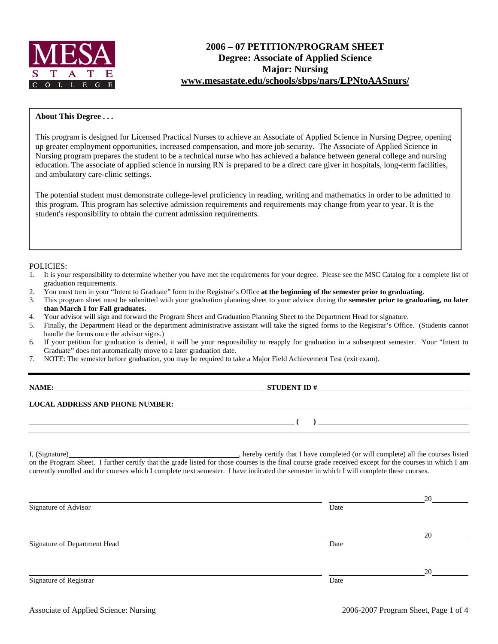

# **2006 – 07 PETITION/PROGRAM SHEET Degree: Associate of Applied Science Major: Nursing www.mesastate.edu/schools/sbps/nars/LPNtoAASnurs/**

### **About This Degree . . .**

This program is designed for Licensed Practical Nurses to achieve an Associate of Applied Science in Nursing Degree, opening up greater employment opportunities, increased compensation, and more job security. The Associate of Applied Science in Nursing program prepares the student to be a technical nurse who has achieved a balance between general college and nursing education. The associate of applied science in nursing RN is prepared to be a direct care giver in hospitals, long-term facilities, and ambulatory care-clinic settings.

The potential student must demonstrate college-level proficiency in reading, writing and mathematics in order to be admitted to this program. This program has selective admission requirements and requirements may change from year to year. It is the student's responsibility to obtain the current admission requirements.

#### POLICIES:

- 1. It is your responsibility to determine whether you have met the requirements for your degree. Please see the MSC Catalog for a complete list of graduation requirements.
- 2. You must turn in your "Intent to Graduate" form to the Registrar's Office **at the beginning of the semester prior to graduating**.
- 3. This program sheet must be submitted with your graduation planning sheet to your advisor during the **semester prior to graduating, no later than March 1 for Fall graduates.**
- 4. Your advisor will sign and forward the Program Sheet and Graduation Planning Sheet to the Department Head for signature.
- 5. Finally, the Department Head or the department administrative assistant will take the signed forms to the Registrar's Office. (Students cannot handle the forms once the advisor signs.)
- 6. If your petition for graduation is denied, it will be your responsibility to reapply for graduation in a subsequent semester. Your "Intent to Graduate" does not automatically move to a later graduation date.
- 7. NOTE: The semester before graduation, you may be required to take a Major Field Achievement Test (exit exam).

| NAME:                                  | <b>STUDENT ID#</b> |
|----------------------------------------|--------------------|
| <b>LOCAL ADDRESS AND PHONE NUMBER:</b> |                    |
|                                        |                    |

I, (Signature) **Solution** , hereby certify that I have completed (or will complete) all the courses listed on the Program Sheet. I further certify that the grade listed for those courses is the final course grade received except for the courses in which I am currently enrolled and the courses which I complete next semester. I have indicated the semester in which I will complete these courses.

|                              |      | 20 |
|------------------------------|------|----|
| Signature of Advisor         | Date |    |
|                              |      |    |
|                              |      | 20 |
| Signature of Department Head | Date |    |
|                              |      |    |
|                              |      | 20 |
| Signature of Registrar       | Date |    |
|                              |      |    |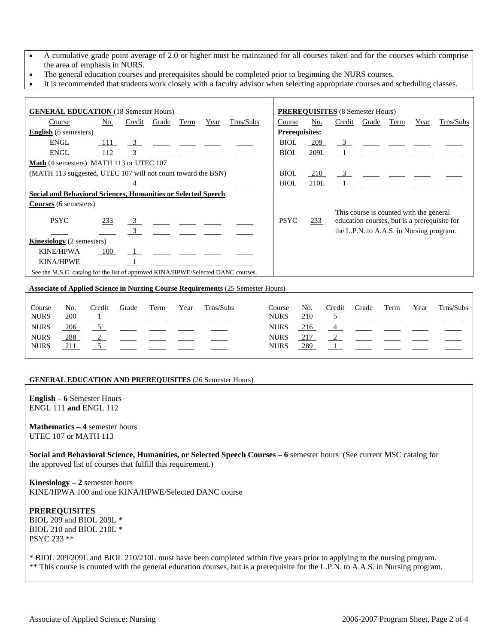- A cumulative grade point average of 2.0 or higher must be maintained for all courses taken and for the courses which comprise the area of emphasis in NURS.
- The general education courses and prerequisites should be completed prior to beginning the NURS courses.
- It is recommended that students work closely with a faculty advisor when selecting appropriate courses and scheduling classes.

| <b>GENERAL EDUCATION</b> (18 Semester Hours)                                     |       |                         |       |      |      |           |                       |      | <b>PREREQUISITES</b> (8 Semester Hours) |                                                                                  |      |      |           |
|----------------------------------------------------------------------------------|-------|-------------------------|-------|------|------|-----------|-----------------------|------|-----------------------------------------|----------------------------------------------------------------------------------|------|------|-----------|
| Course                                                                           | No.   | Credit                  | Grade | Term | Year | Trns/Subs | Course                | No.  | Credit                                  | Grade                                                                            | Term | Year | Trns/Subs |
| <b>English</b> (6 semesters)                                                     |       |                         |       |      |      |           | <b>Prerequisites:</b> |      |                                         |                                                                                  |      |      |           |
| <b>ENGL</b>                                                                      | - 111 | $\overline{\mathbf{3}}$ |       |      |      |           | <b>BIOL</b>           | 209  | $\overline{\mathbf{3}}$                 |                                                                                  |      |      |           |
| ENGL                                                                             | 112   | $\overline{\mathbf{3}}$ |       |      |      |           | <b>BIOL</b>           | 209L |                                         |                                                                                  |      |      |           |
| Math (4 semesters) MATH 113 or UTEC 107                                          |       |                         |       |      |      |           |                       |      |                                         |                                                                                  |      |      |           |
| (MATH 113 suggested, UTEC 107 will not count toward the BSN)                     |       |                         |       |      |      |           | <b>BIOL</b>           | 210  |                                         | $\frac{3}{2}$ $\frac{1}{2}$ $\frac{1}{2}$ $\frac{1}{2}$                          |      |      |           |
|                                                                                  |       |                         |       |      |      |           | <b>BIOL</b>           | 210L |                                         | $\mathbf{1}$ and $\mathbf{1}$ and $\mathbf{1}$ and $\mathbf{1}$ and $\mathbf{1}$ |      |      |           |
| <b>Social and Behavioral Sciences, Humanities or Selected Speech</b>             |       |                         |       |      |      |           |                       |      |                                         |                                                                                  |      |      |           |
| <b>Courses</b> (6 semesters)                                                     |       |                         |       |      |      |           |                       |      |                                         |                                                                                  |      |      |           |
|                                                                                  |       |                         |       |      |      |           |                       |      |                                         | This course is counted with the general                                          |      |      |           |
| <b>PSYC</b>                                                                      | 233   | $\frac{3}{2}$           |       |      |      |           | <b>PSYC</b>           | 233  |                                         | education courses, but is a prerequisite for                                     |      |      |           |
|                                                                                  |       | $\overline{\mathbf{3}}$ |       |      |      |           |                       |      |                                         | the L.P.N. to A.A.S. in Nursing program.                                         |      |      |           |
| <b>Kinesiology</b> (2 semesters)                                                 |       |                         |       |      |      |           |                       |      |                                         |                                                                                  |      |      |           |
| <b>KINE/HPWA</b>                                                                 | 100   |                         |       |      |      |           |                       |      |                                         |                                                                                  |      |      |           |
| <b>KINA/HPWE</b>                                                                 |       |                         |       |      |      |           |                       |      |                                         |                                                                                  |      |      |           |
| See the M.S.C. catalog for the list of approved KINA/HPWE/Selected DANC courses. |       |                         |       |      |      |           |                       |      |                                         |                                                                                  |      |      |           |
|                                                                                  |       |                         |       |      |      |           |                       |      |                                         |                                                                                  |      |      |           |

**Associate of Applied Science in Nursing Course Requirements** (25 Semester Hours)

| Course<br><b>NURS</b>      | No.<br>200 | Credit | Grade | Term | Year | Trns/Subs | Course<br><b>NURS</b>      | No.<br>210 | Credit | Grade | Term | Year | Frns/Subs |
|----------------------------|------------|--------|-------|------|------|-----------|----------------------------|------------|--------|-------|------|------|-----------|
| <b>NURS</b>                | 206        |        |       |      |      |           | <b>NURS</b>                | 216        |        |       |      |      |           |
| <b>NURS</b><br><b>NURS</b> | 288<br>211 |        |       |      |      |           | <b>NURS</b><br><b>NURS</b> | 289        |        |       |      |      |           |

#### **GENERAL EDUCATION AND PREREQUISITES** (26 Semester Hours)

**English – 6** Semester Hours ENGL 111 **and** ENGL 112

**Mathematics – 4** semester hours UTEC 107 or MATH 113

**Social and Behavioral Science, Humanities, or Selected Speech Courses – 6** semester hours (See current MSC catalog for the approved list of courses that fulfill this requirement.)

**Kinesiology – 2** semester hours KINE/HPWA 100 and one KINA/HPWE/Selected DANC course

#### **PREREQUISITES**

BIOL 209 and BIOL 209L \* BIOL 210 and BIOL 210L \* PSYC 233 \*\*

\* BIOL 209/209L and BIOL 210/210L must have been completed within five years prior to applying to the nursing program. \*\* This course is counted with the general education courses, but is a prerequisite for the L.P.N. to A.A.S. in Nursing program.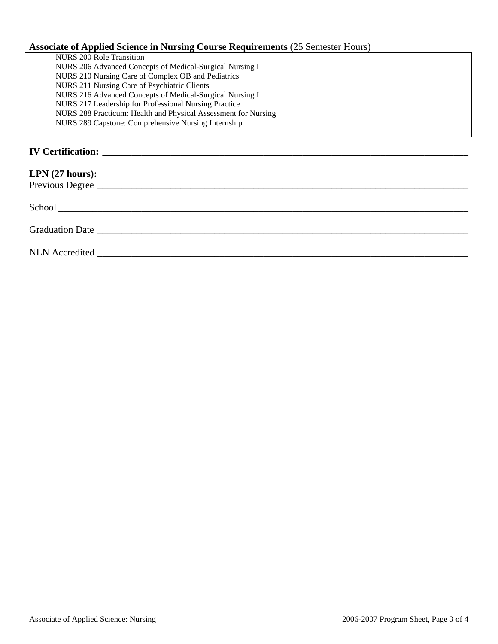# **Associate of Applied Science in Nursing Course Requirements** (25 Semester Hours)

| NURS 200 Role Transition                                       |  |
|----------------------------------------------------------------|--|
| NURS 206 Advanced Concepts of Medical-Surgical Nursing I       |  |
| NURS 210 Nursing Care of Complex OB and Pediatrics             |  |
| NURS 211 Nursing Care of Psychiatric Clients                   |  |
| NURS 216 Advanced Concepts of Medical-Surgical Nursing I       |  |
| NURS 217 Leadership for Professional Nursing Practice          |  |
| NURS 288 Practicum: Health and Physical Assessment for Nursing |  |
| NURS 289 Capstone: Comprehensive Nursing Internship            |  |
|                                                                |  |
|                                                                |  |
| <b>IV Certification:</b>                                       |  |

| LPN $(27 \text{ hours})$ :<br>Previous Degree |  |  |  |
|-----------------------------------------------|--|--|--|
|                                               |  |  |  |
|                                               |  |  |  |
|                                               |  |  |  |